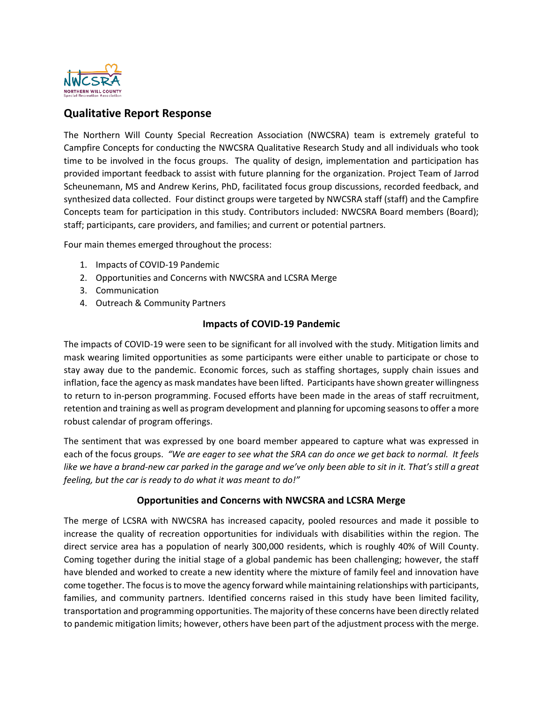

# **Qualitative Report Response**

The Northern Will County Special Recreation Association (NWCSRA) team is extremely grateful to Campfire Concepts for conducting the NWCSRA Qualitative Research Study and all individuals who took time to be involved in the focus groups. The quality of design, implementation and participation has provided important feedback to assist with future planning for the organization. Project Team of Jarrod Scheunemann, MS and Andrew Kerins, PhD, facilitated focus group discussions, recorded feedback, and synthesized data collected. Four distinct groups were targeted by NWCSRA staff (staff) and the Campfire Concepts team for participation in this study. Contributors included: NWCSRA Board members (Board); staff; participants, care providers, and families; and current or potential partners.

Four main themes emerged throughout the process:

- 1. Impacts of COVID-19 Pandemic
- 2. Opportunities and Concerns with NWCSRA and LCSRA Merge
- 3. Communication
- 4. Outreach & Community Partners

#### **Impacts of COVID-19 Pandemic**

The impacts of COVID-19 were seen to be significant for all involved with the study. Mitigation limits and mask wearing limited opportunities as some participants were either unable to participate or chose to stay away due to the pandemic. Economic forces, such as staffing shortages, supply chain issues and inflation, face the agency as mask mandates have been lifted. Participants have shown greater willingness to return to in-person programming. Focused efforts have been made in the areas of staff recruitment, retention and training as well as program development and planning for upcoming seasons to offer a more robust calendar of program offerings.

The sentiment that was expressed by one board member appeared to capture what was expressed in each of the focus groups. *"We are eager to see what the SRA can do once we get back to normal. It feels like we have a brand-new car parked in the garage and we've only been able to sit in it. That's still a great feeling, but the car is ready to do what it was meant to do!"*

#### **Opportunities and Concerns with NWCSRA and LCSRA Merge**

The merge of LCSRA with NWCSRA has increased capacity, pooled resources and made it possible to increase the quality of recreation opportunities for individuals with disabilities within the region. The direct service area has a population of nearly 300,000 residents, which is roughly 40% of Will County. Coming together during the initial stage of a global pandemic has been challenging; however, the staff have blended and worked to create a new identity where the mixture of family feel and innovation have come together. The focus is to move the agency forward while maintaining relationships with participants, families, and community partners. Identified concerns raised in this study have been limited facility, transportation and programming opportunities. The majority of these concerns have been directly related to pandemic mitigation limits; however, others have been part of the adjustment process with the merge.